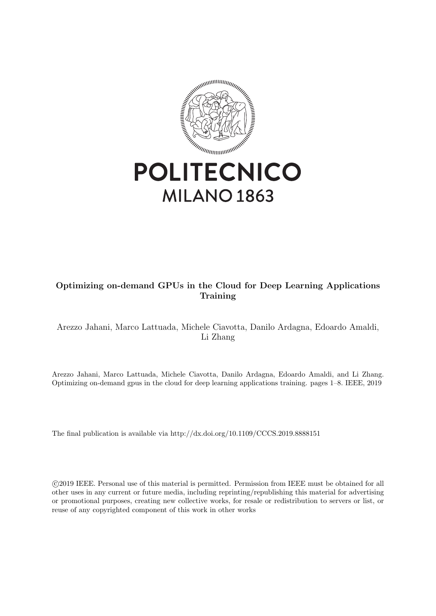

# Optimizing on-demand GPUs in the Cloud for Deep Learning Applications Training

# Arezzo Jahani, Marco Lattuada, Michele Ciavotta, Danilo Ardagna, Edoardo Amaldi, Li Zhang

Arezzo Jahani, Marco Lattuada, Michele Ciavotta, Danilo Ardagna, Edoardo Amaldi, and Li Zhang. Optimizing on-demand gpus in the cloud for deep learning applications training. pages 1–8. IEEE, 2019

The final publication is available via http://dx.doi.org/10.1109/CCCS.2019.8888151

 c 2019 IEEE. Personal use of this material is permitted. Permission from IEEE must be obtained for all other uses in any current or future media, including reprinting/republishing this material for advertising or promotional purposes, creating new collective works, for resale or redistribution to servers or list, or reuse of any copyrighted component of this work in other works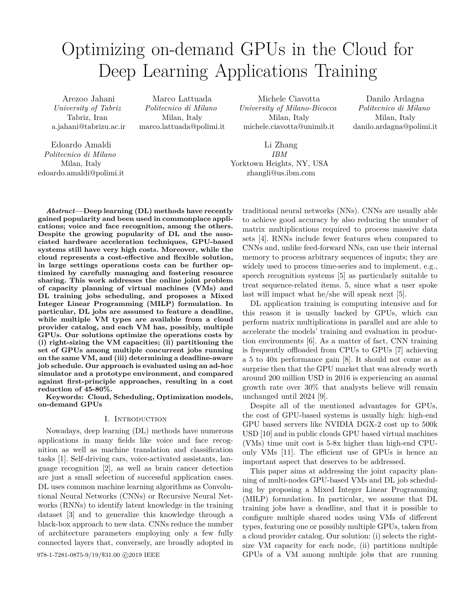# Optimizing on-demand GPUs in the Cloud for Deep Learning Applications Training

Arezoo Jahani *University of Tabriz* Tabriz, Iran a.jahani@tabrizu.ac.ir

Marco Lattuada *Politecnico di Milano* Milan, Italy marco.lattuada@polimi.it

Michele Ciavotta *University of Milano-Bicocca* Milan, Italy michele.ciavotta@unimib.it

Edoardo Amaldi *Politecnico di Milano* Milan, Italy edoardo.amaldi@polimi.it

Li Zhang *IBM* Yorktown Heights, NY, USA zhangli@us.ibm.com

Danilo Ardagna *Politecnico di Milano* Milan, Italy danilo.ardagna@polimi.it

*Abstract***—Deep learning (DL) methods have recently gained popularity and been used in commonplace applications; voice and face recognition, among the others. Despite the growing popularity of DL and the associated hardware acceleration techniques, GPU-based systems still have very high costs. Moreover, while the cloud represents a cost-effective and flexible solution, in large settings operations costs can be further optimized by carefully managing and fostering resource sharing. This work addresses the online joint problem of capacity planning of virtual machines (VMs) and DL training jobs scheduling, and proposes a Mixed Integer Linear Programming (MILP) formulation. In particular, DL jobs are assumed to feature a deadline, while multiple VM types are available from a cloud provider catalog, and each VM has, possibly, multiple GPUs. Our solutions optimize the operations costs by (i) right-sizing the VM capacities; (ii) partitioning the set of GPUs among multiple concurrent jobs running on the same VM, and (iii) determining a deadline-aware job schedule. Our approach is evaluated using an ad-hoc simulator and a prototype environment, and compared against first-principle approaches, resulting in a cost reduction of 45-80%.**

**Keywords: Cloud, Scheduling, Optimization models, on-demand GPUs**

## I. INTRODUCTION

Nowadays, deep learning (DL) methods have numerous applications in many fields like voice and face recognition as well as machine translation and classification tasks [1]. Self-driving cars, voice-activated assistants, language recognition [2], as well as brain cancer detection are just a small selection of successful application cases. DL uses common machine learning algorithms as Convolutional Neural Networks (CNNs) or Recursive Neural Networks (RNNs) to identify latent knowledge in the training dataset [3] and to generalize this knowledge through a black-box approach to new data. CNNs reduce the number of architecture parameters employing only a few fully connected layers that, conversely, are broadly adopted in

traditional neural networks (NNs). CNNs are usually able to achieve good accuracy by also reducing the number of matrix multiplications required to process massive data sets [4]. RNNs include fewer features when compared to CNNs and, unlike feed-forward NNs, can use their internal memory to process arbitrary sequences of inputs; they are widely used to process time-series and to implement, e.g., speech recognition systems [5] as particularly suitable to treat sequence-related items. 5, since what a user spoke last will impact what he/she will speak next [5].

DL application training is computing intensive and for this reason it is usually backed by GPUs, which can perform matrix multiplications in parallel and are able to accelerate the models' training and evaluation in production environments [6]. As a matter of fact, CNN training is frequently offloaded from CPUs to GPUs [7] achieving a 5 to 40x performance gain [8]. It should not come as a surprise then that the GPU market that was already worth around 200 million USD in 2016 is experiencing an annual growth rate over 30% that analysts believe will remain unchanged until 2024 [9].

Despite all of the mentioned advantages for GPUs, the cost of GPU-based systems is usually high: high-end GPU based servers like NVIDIA DGX-2 cost up to 500k USD [10] and in public clouds GPU based virtual machines (VMs) time unit cost is 5-8x higher than high-end CPUonly VMs [11]. The efficient use of GPUs is hence an important aspect that deserves to be addressed.

This paper aims at addressing the joint capacity planning of multi-nodes GPU-based VMs and DL job scheduling by proposing a Mixed Integer Linear Programming (MILP) formulation. In particular, we assume that DL training jobs have a deadline, and that it is possible to configure multiple shared nodes using VMs of different types, featuring one or possibly multiple GPUs, taken from a cloud provider catalog. Our solution: (i) selects the rightsize VM capacity for each node, (ii) partitions multiple 978-1-7281-0875-9/19/\$31.00 © 2019 IEEE GPUs of a VM among multiple jobs that are running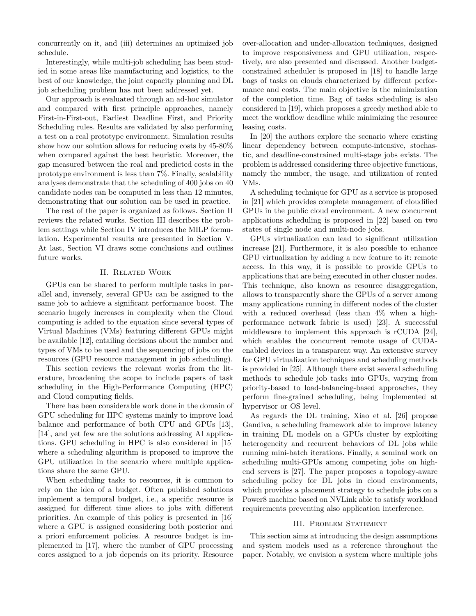concurrently on it, and (iii) determines an optimized job schedule.

Interestingly, while multi-job scheduling has been studied in some areas like manufacturing and logistics, to the best of our knowledge, the joint capacity planning and DL job scheduling problem has not been addressed yet.

Our approach is evaluated through an ad-hoc simulator and compared with first principle approaches, namely First-in-First-out, Earliest Deadline First, and Priority Scheduling rules. Results are validated by also performing a test on a real prototype environment. Simulation results show how our solution allows for reducing costs by 45-80% when compared against the best heuristic. Moreover, the gap measured between the real and predicted costs in the prototype environment is less than 7%. Finally, scalability analyses demonstrate that the scheduling of 400 jobs on 40 candidate nodes can be computed in less than 12 minutes, demonstrating that our solution can be used in practice.

The rest of the paper is organized as follows. Section II reviews the related works. Section III describes the problem settings while Section IV introduces the MILP formulation. Experimental results are presented in Section V. At last, Section VI draws some conclusions and outlines future works.

# II. Related Work

GPUs can be shared to perform multiple tasks in parallel and, inversely, several GPUs can be assigned to the same job to achieve a significant performance boost. The scenario hugely increases in complexity when the Cloud computing is added to the equation since several types of Virtual Machines (VMs) featuring different GPUs might be available [12], entailing decisions about the number and types of VMs to be used and the sequencing of jobs on the resources (GPU resource management in job scheduling).

This section reviews the relevant works from the literature, broadening the scope to include papers of task scheduling in the High-Performance Computing (HPC) and Cloud computing fields.

There has been considerable work done in the domain of GPU scheduling for HPC systems mainly to improve load balance and performance of both CPU and GPUs [13], [14], and yet few are the solutions addressing AI applications. GPU scheduling in HPC is also considered in [15] where a scheduling algorithm is proposed to improve the GPU utilization in the scenario where multiple applications share the same GPU.

When scheduling tasks to resources, it is common to rely on the idea of a budget. Often published solutions implement a temporal budget, i.e., a specific resource is assigned for different time slices to jobs with different priorities. An example of this policy is presented in [16] where a GPU is assigned considering both posterior and a priori enforcement policies. A resource budget is implemented in [17], where the number of GPU processing cores assigned to a job depends on its priority. Resource over-allocation and under-allocation techniques, designed to improve responsiveness and GPU utilization, respectively, are also presented and discussed. Another budgetconstrained scheduler is proposed in [18] to handle large bags of tasks on clouds characterized by different performance and costs. The main objective is the minimization of the completion time. Bag of tasks scheduling is also considered in [19], which proposes a greedy method able to meet the workflow deadline while minimizing the resource leasing costs.

In [20] the authors explore the scenario where existing linear dependency between compute-intensive, stochastic, and deadline-constrained multi-stage jobs exists. The problem is addressed considering three objective functions, namely the number, the usage, and utilization of rented VMs.

A scheduling technique for GPU as a service is proposed in [21] which provides complete management of cloudified GPUs in the public cloud environment. A new concurrent applications scheduling is proposed in [22] based on two states of single node and multi-node jobs.

GPUs virtualization can lead to significant utilization increase [21]. Furthermore, it is also possible to enhance GPU virtualization by adding a new feature to it: remote access. In this way, it is possible to provide GPUs to applications that are being executed in other cluster nodes. This technique, also known as resource disaggregation, allows to transparently share the GPUs of a server among many applications running in different nodes of the cluster with a reduced overhead (less than 4\% when a highperformance network fabric is used) [23]. A successful middleware to implement this approach is rCUDA [24], which enables the concurrent remote usage of CUDAenabled devices in a transparent way. An extensive survey for GPU virtualization techniques and scheduling methods is provided in [25]. Although there exist several scheduling methods to schedule job tasks into GPUs, varying from priority-based to load-balancing-based approaches, they perform fine-grained scheduling, being implemented at hypervisor or OS level.

As regards the DL training, Xiao et al. [26] propose Gandiva, a scheduling framework able to improve latency in training DL models on a GPUs cluster by exploiting heterogeneity and recurrent behaviors of DL jobs while running mini-batch iterations. Finally, a seminal work on scheduling multi-GPUs among competing jobs on highend servers is [27]. The paper proposes a topology-aware scheduling policy for DL jobs in cloud environments, which provides a placement strategy to schedule jobs on a Power8 machine based on NVLink able to satisfy workload requirements preventing also application interference.

#### III. Problem Statement

This section aims at introducing the design assumptions and system models used as a reference throughout the paper. Notably, we envision a system where multiple jobs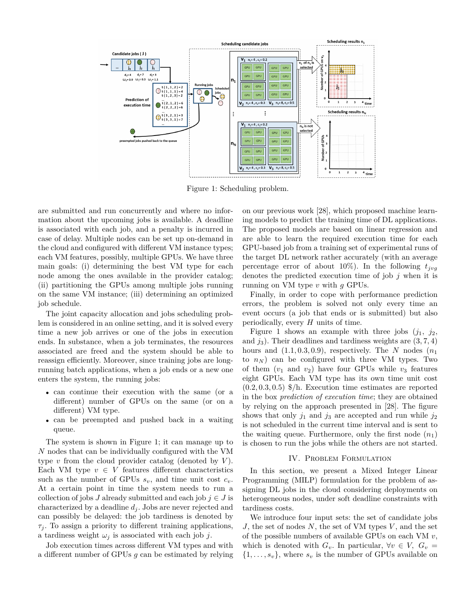

Figure 1: Scheduling problem.

are submitted and run concurrently and where no information about the upcoming jobs is available. A deadline is associated with each job, and a penalty is incurred in case of delay. Multiple nodes can be set up on-demand in the cloud and configured with different VM instance types; each VM features, possibly, multiple GPUs. We have three main goals: (i) determining the best VM type for each node among the ones available in the provider catalog; (ii) partitioning the GPUs among multiple jobs running on the same VM instance; (iii) determining an optimized job schedule.

The joint capacity allocation and jobs scheduling problem is considered in an online setting, and it is solved every time a new job arrives or one of the jobs in execution ends. In substance, when a job terminates, the resources associated are freed and the system should be able to reassign efficiently. Moreover, since training jobs are longrunning batch applications, when a job ends or a new one enters the system, the running jobs:

- can continue their execution with the same (or a different) number of GPUs on the same (or on a different) VM type.
- can be preempted and pushed back in a waiting queue.

The system is shown in Figure 1; it can manage up to *N* nodes that can be individually configured with the VM type  $v$  from the cloud provider catalog (denoted by  $V$ ). Each VM type  $v \in V$  features different characteristics such as the number of GPUs  $s_v$ , and time unit cost  $c_v$ . At a certain point in time the system needs to run a collection of jobs *J* already submitted and each job  $j \in J$  is characterized by a deadline *d<sup>j</sup>* . Jobs are never rejected and can possibly be delayed: the job tardiness is denoted by  $\tau_j$ . To assign a priority to different training applications, a tardiness weight  $\omega_j$  is associated with each job *j*.

Job execution times across different VM types and with a different number of GPUs *g* can be estimated by relying on our previous work [28], which proposed machine learning models to predict the training time of DL applications. The proposed models are based on linear regression and are able to learn the required execution time for each GPU-based job from a training set of experimental runs of the target DL network rather accurately (with an average percentage error of about 10%). In the following  $t_{j\nu q}$ denotes the predicted execution time of job *j* when it is running on VM type *v* with *g* GPUs.

Finally, in order to cope with performance prediction errors, the problem is solved not only every time an event occurs (a job that ends or is submitted) but also periodically, every *H* units of time.

Figure 1 shows an example with three jobs  $(j_1, j_2,$ and  $j_3$ ). Their deadlines and tardiness weights are  $(3, 7, 4)$ hours and  $(1.1, 0.3, 0.9)$ , respectively. The *N* nodes  $(n_1)$ to  $n_N$ ) can be configured with three VM types. Two of them  $(v_1$  and  $v_2)$  have four GPUs while  $v_3$  features eight GPUs. Each VM type has its own time unit cost (0*.*2*,* 0*.*3*,* 0*.*5) \$/h. Execution time estimates are reported in the box *prediction of execution time*; they are obtained by relying on the approach presented in [28]. The figure shows that only  $j_1$  and  $j_3$  are accepted and run while  $j_2$ is not scheduled in the current time interval and is sent to the waiting queue. Furthermore, only the first node  $(n_1)$ is chosen to run the jobs while the others are not started.

# IV. Problem Formulation

In this section, we present a Mixed Integer Linear Programming (MILP) formulation for the problem of assigning DL jobs in the cloud considering deployments on heterogeneous nodes, under soft deadline constraints with tardiness costs.

We introduce four input sets: the set of candidate jobs *J*, the set of nodes *N*, the set of VM types *V* , and the set of the possible numbers of available GPUs on each VM *v*, which is denoted with  $G_v$ . In particular,  $\forall v \in V$ ,  $G_v$  $\{1, \ldots, s_v\}$ , where  $s_v$  is the number of GPUs available on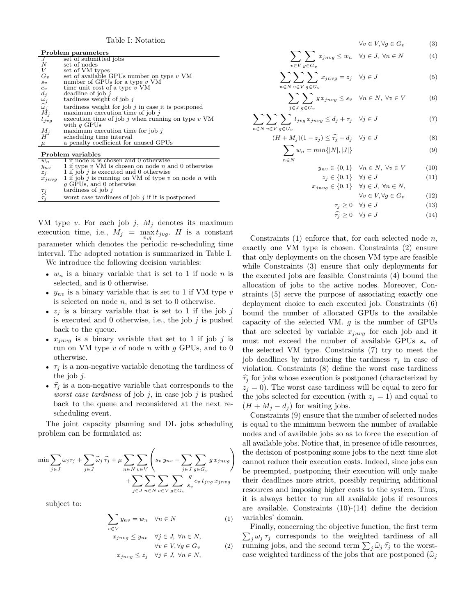Table I: Notation

| Problem parameters                                                                                                                         |                                                                                                 |  |  |  |
|--------------------------------------------------------------------------------------------------------------------------------------------|-------------------------------------------------------------------------------------------------|--|--|--|
| J                                                                                                                                          | set of submitted jobs                                                                           |  |  |  |
| N                                                                                                                                          | set of nodes                                                                                    |  |  |  |
| $\boldsymbol{V}$                                                                                                                           | set of VM types                                                                                 |  |  |  |
| $G_v$                                                                                                                                      | set of available GPUs number on type $v$ VM                                                     |  |  |  |
| $s_v$                                                                                                                                      | number of GPUs for a type $v$ VM                                                                |  |  |  |
|                                                                                                                                            | time unit cost of a type $v$ VM                                                                 |  |  |  |
|                                                                                                                                            | deadline of job $j$                                                                             |  |  |  |
|                                                                                                                                            | tardiness weight of job $\hat{j}$                                                               |  |  |  |
|                                                                                                                                            | tardiness weight for job $j$ in case it is postponed                                            |  |  |  |
|                                                                                                                                            | maximum execution time of job $\hat{j}$                                                         |  |  |  |
|                                                                                                                                            | execution time of job j when running on type $v$ VM                                             |  |  |  |
|                                                                                                                                            |                                                                                                 |  |  |  |
|                                                                                                                                            | maximum execution time for job $\hat{j}$                                                        |  |  |  |
|                                                                                                                                            |                                                                                                 |  |  |  |
| $\mu$                                                                                                                                      | a penalty coefficient for unused GPUs                                                           |  |  |  |
|                                                                                                                                            |                                                                                                 |  |  |  |
| Problem variables                                                                                                                          |                                                                                                 |  |  |  |
| $w_n$                                                                                                                                      | 1 if node <i>n</i> is chosen and 0 otherwise                                                    |  |  |  |
| $y_{nv}$                                                                                                                                   | 1 if type $v$ VM is chosen on node $n$ and 0 otherwise                                          |  |  |  |
| $z_i$                                                                                                                                      | 1 if job $j$ is executed and 0 otherwise                                                        |  |  |  |
| $\begin{array}{c} c_v \\ d_j \\ \omega_j \\ \widehat{\omega}_j \\ M_j \end{array}$<br>$t_{jvg}$<br>$\begin{array}{c} M_j \\ H \end{array}$ | with $q$ GPUs<br>scheduling time interval<br>$\cdots$<br>$\mathbf{v}$ $\mathbf{v}$ $\mathbf{v}$ |  |  |  |

| $y_{nv}$        | I if type v VM is chosen on node n and U otherwise   |
|-----------------|------------------------------------------------------|
| $z_i$           | 1 if job j is executed and 0 otherwise               |
| $x_{invq}$      | 1 if job j is running on VM of type v on node n with |
|                 | q GPUs, and 0 otherwise                              |
| $\mathcal{I}^j$ | tardiness of job $i$                                 |
| $\tau_i$        | worst case tardiness of job $j$ if it is postponed   |
|                 |                                                      |

VM type *v*. For each job *j*, *M<sup>j</sup>* denotes its maximum execution time, i.e.,  $M_j = \max_{v,g} t_{jvg}$ . *H* is a constant parameter which denotes the periodic re-scheduling time interval. The adopted notation is summarized in Table I.

We introduce the following decision variables:

- $w_n$  is a binary variable that is set to 1 if node  $n$  is selected, and is 0 otherwise.
- $y_{nv}$  is a binary variable that is set to 1 if VM type  $v$ is selected on node *n*, and is set to 0 otherwise.
- $z_j$  is a binary variable that is set to 1 if the job  $j$ is executed and 0 otherwise, i.e., the job *j* is pushed back to the queue.
- $x_{inva}$  is a binary variable that set to 1 if job  $j$  is run on VM type *v* of node *n* with *g* GPUs, and to 0 otherwise.
- $\tau_i$  is a non-negative variable denoting the tardiness of the job *j*.
- $\hat{\tau}_i$  is a non-negative variable that corresponds to the *worst case tardiness* of job *j*, in case job *j* is pushed back to the queue and reconsidered at the next rescheduling event.

The joint capacity planning and DL jobs scheduling problem can be formulated as:

$$
\min \sum_{j \in J} \omega_j \tau_j + \sum_{j \in J} \widehat{\omega}_j \widehat{\tau}_j + \mu \sum_{n \in N} \sum_{v \in V} \left( s_v y_{nv} - \sum_{j \in J} \sum_{g \in G_v} g x_{jnvg} \right) + \sum_{j \in J} \sum_{n \in N} \sum_{v \in V} \sum_{g \in G_v} \frac{g}{s_v} c_v t_{jvg} x_{jnvg}
$$

subject to:

$$
\sum_{v \in V} y_{nv} = w_n \quad \forall n \in N \tag{1}
$$

$$
x_{jnvg} \leq y_{nv} \quad \forall j \in J, \ \forall n \in N,
$$

$$
\forall v \in V, \forall g \in G_v \tag{2}
$$

$$
x_{jnvg} \leq z_j \quad \forall j \in J, \ \forall n \in N,
$$

$$
\forall v \in V, \forall g \in G_v \tag{3}
$$

$$
\sum_{v \in V} \sum_{g \in G_v} x_{jnvg} \le w_n \quad \forall j \in J, \ \forall n \in N \tag{4}
$$

$$
\sum_{n \in N} \sum_{v \in V} \sum_{g \in G_v} x_{j n v g} = z_j \quad \forall j \in J \tag{5}
$$

$$
\sum_{j \in J} \sum_{g \in G_v} g \, x_{j n v g} \le s_v \quad \forall n \in N, \ \forall v \in V \tag{6}
$$

$$
\sum_{n \in N} \sum_{v \in V} \sum_{g \in G_v} t_{jvg} \, x_{jnvg} \le d_j + \tau_j \quad \forall j \in J \tag{7}
$$

$$
(H + M_j)(1 - z_j) \leq \widehat{\tau}_j + d_j \quad \forall j \in J
$$
\n<sup>(8)</sup>

$$
\sum_{n \in N} w_n = \min\{|N|, |J|\} \tag{9}
$$

$$
y_{nv} \in \{0, 1\} \quad \forall n \in N, \ \forall v \in V \tag{10}
$$

$$
z_j \in \{0, 1\} \quad \forall j \in J \tag{11}
$$

$$
x_{jnvg} \in \{0,1\} \quad \forall j \in J, \ \forall n \in N,
$$

$$
\forall v \in V, \forall g \in G_v \tag{12}
$$

$$
\tau_j \ge 0 \quad \forall j \in J \tag{13}
$$

$$
\widehat{\tau_j} \ge 0 \quad \forall j \in J \tag{14}
$$

Constraints (1) enforce that, for each selected node *n*, exactly one VM type is chosen. Constraints (2) ensure that only deployments on the chosen VM type are feasible while Constraints (3) ensure that only deployments for the executed jobs are feasible. Constraints (4) bound the allocation of jobs to the active nodes. Moreover, Constraints (5) serve the purpose of associating exactly one deployment choice to each executed job. Constraints (6) bound the number of allocated GPUs to the available capacity of the selected VM. *g* is the number of GPUs that are selected by variable  $x_{j n v g}$  for each job and it must not exceed the number of available GPUs  $s_v$  of the selected VM type. Constraints (7) try to meet the job deadlines by introducing the tardiness  $\tau_j$  in case of violation. Constraints (8) define the worst case tardiness  $\hat{\tau}_i$  for jobs whose execution is postponed (characterized by  $z_j = 0$ ). The worst case tardiness will be equal to zero for the jobs selected for execution (with  $z_j = 1$ ) and equal to  $(H + M_j - d_j)$  for waiting jobs.

Constraints (9) ensure that the number of selected nodes is equal to the minimum between the number of available nodes and of available jobs so as to force the execution of all available jobs. Notice that, in presence of idle resources, the decision of postponing some jobs to the next time slot cannot reduce their execution costs. Indeed, since jobs can be preempted, postponing their execution will only make their deadlines more strict, possibly requiring additional resources and imposing higher costs to the system. Thus, it is always better to run all available jobs if resources are available. Constraints  $(10)-(14)$  define the decision variables' domain.

 $\sum_{j} \omega_j \tau_j$  corresponds to the weighted tardiness of all Finally, concerning the objective function, the first term running jobs, and the second term  $\sum_j \hat{\omega}_j \hat{\tau}_j$  to the worstcase weighted tardiness of the jobs that are postponed  $(\widehat{\omega}_i)$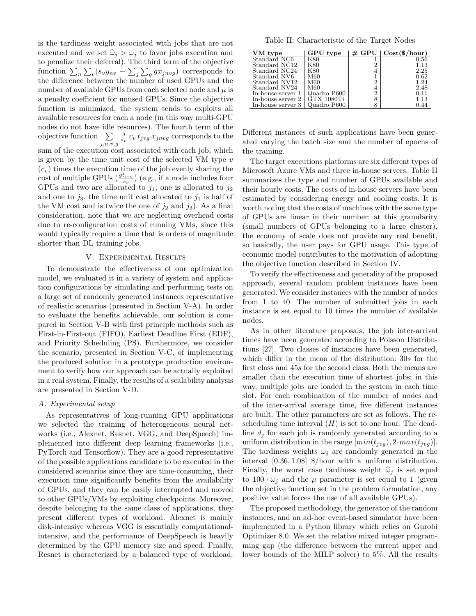is the tardiness weight associated with jobs that are not executed and we set  $\hat{\omega}_i > \omega_i$  to favor jobs execution and to penalize their deferral). The third term of the objective function  $\sum_{n}\sum_{v}(s_{v}y_{nv}-\sum_{j}\sum_{g}gx_{jnvg})$  corresponds to the difference between the number of used GPUs and the number of available GPUs from each selected node and  $\mu$  is a penalty coefficient for unused GPUs. Since the objective function is minimized, the system tends to exploits all available resources for each a node (in this way multi-GPU nodes do not have idle resources). The fourth term of the objective function  $\Sigma$ *j,n,v,g*  $\frac{g}{s_v} c_v t_{jvg} x_{jnvg}$  corresponds to the sum of the execution cost associated with each job, which is given by the time unit cost of the selected VM type *v*  $(c_v)$  times the execution time of the job evenly sharing the cost of multiple GPUs  $\left(\frac{gt_{jvg}}{s_v}\right)$  (e.g., if a node includes four GPUs and two are allocated to  $j_1$ , one is allocated to  $j_2$ and one to  $j_3$ , the time unit cost allocated to  $j_1$  is half of the VM cost and is twice the one of  $j_2$  and  $j_3$ ). As a final consideration, note that we are neglecting overhead costs due to re-configuration costs of running VMs, since this would typically require a time that is orders of magnitude shorter than DL training jobs.

# V. Experimental Results

To demonstrate the effectiveness of our optimization model, we evaluated it in a variety of system and application configurations by simulating and performing tests on a large set of randomly generated instances representative of realistic scenarios (presented in Section V-A). In order to evaluate the benefits achievable, our solution is compared in Section V-B with first principle methods such as First-in-First-out (FIFO), Earliest Deadline First (EDF), and Priority Scheduling (PS). Furthermore, we consider the scenario, presented in Section V-C, of implementing the produced solution in a prototype production environment to verify how our approach can be actually exploited in a real system. Finally, the results of a scalability analysis are presented in Section V-D.

#### *A. Experimental setup*

As representatives of long-running GPU applications we selected the training of heterogeneous neural networks (i.e., Alexnet, Resnet, VGG, and DeepSpeech) implemented into different deep learning frameworks (i.e., PyTorch and Tensorflow). They are a good representative of the possible applications candidate to be executed in the considered scenarios since they are time-consuming, their execution time significantly benefits from the availability of GPUs, and they can be easily interrupted and moved to other GPUs/VMs by exploiting checkpoints. Moreover, despite belonging to the same class of applications, they present different types of workload. Alexnet is mainly disk-intensive whereas VGG is essentially computationalintensive, and the performance of DeepSpeech is heavily determined by the GPU memory size and speed. Finally, Resnet is characterized by a balanced type of workload.

Table II: Characteristic of the Target Nodes

| VM type           | GPU type    | $\#$ GPU $\parallel$ | $Cost(\$/hour)$ |
|-------------------|-------------|----------------------|-----------------|
| Standard NC6      | K80         |                      | 0.56            |
| Standard NC12     | K80         | 2                    | 1.13            |
| Standard NC24     | K80         | 4                    | 2.25            |
| Standard NV6      | M60         |                      | 0.62            |
| Standard NV12     | M60         | $\overline{2}$       | 1.24            |
| Standard NV24     | M60         | 4                    | 2.48            |
| In-house server 1 | Quadro P600 | $\overline{2}$       | 0.11            |
| In-house server 2 | GTX 1080Ti  | 8                    | 1.13            |
| In-house server 3 | Quadro P600 | 8                    | 0.44            |

Different instances of such applications have been generated varying the batch size and the number of epochs of the training.

The target executions platforms are six different types of Microsoft Azure VMs and three in-house servers. Table II summarizes the type and number of GPUs available and their hourly costs. The costs of in-house servers have been estimated by considering energy and cooling costs. It is worth noting that the costs of machines with the same type of GPUs are linear in their number: at this granularity (small numbers of GPUs belonging to a large cluster), the economy of scale does not provide any real benefit, so basically, the user pays for GPU usage. This type of economic model contributes to the motivation of adopting the objective function described in Section IV.

To verify the effectiveness and generality of the proposed approach, several random problem instances have been generated. We consider instances with the number of nodes from 1 to 40. The number of submitted jobs in each instance is set equal to 10 times the number of available nodes.

As in other literature proposals, the job inter-arrival times have been generated according to Poisson Distributions [27]. Two classes of instances have been generated, which differ in the mean of the distribution: 30*s* for the first class and 45*s* for the second class. Both the means are smaller than the execution time of shortest jobs: in this way, multiple jobs are loaded in the system in each time slot. For each combination of the number of nodes and of the inter-arrival average time, five different instances are built. The other parameters are set as follows. The rescheduling time interval  $(H)$  is set to one hour. The deadline *d<sup>j</sup>* for each job is randomly generated according to a uniform distribution in the range  $[\min(t_{j \vee q}), 2 \cdot \max(t_{j \vee q})]$ . The tardiness weights  $\omega_i$  are randomly generated in the interval [0*.*36*,* 1*.*08] \$/hour with a uniform distribution. Finally, the worst case tardiness weight  $\hat{\omega}_j$  is set equal to  $100 \cdot \omega_i$  and the  $\mu$  parameter is set equal to 1 (given the objective function set in the problem formulation, any positive value forces the use of all available GPUs).

The proposed methodology, the generator of the random instances, and an ad-hoc event-based simulator have been implemented in a Python library which relies on Gurobi Optimizer 8.0. We set the relative mixed integer programming gap (the difference between the current upper and lower bounds of the MILP solver) to 5%. All the results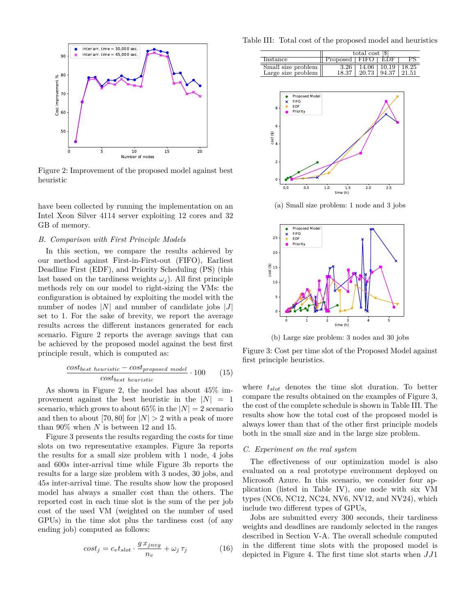

Figure 2: Improvement of the proposed model against best heuristic

have been collected by running the implementation on an Intel Xeon Silver 4114 server exploiting 12 cores and 32 GB of memory.

# *B. Comparison with First Principle Models*

In this section, we compare the results achieved by our method against First-in-First-out (FIFO), Earliest Deadline First (EDF), and Priority Scheduling (PS) (this last based on the tardiness weights  $\omega_i$ ). All first principle methods rely on our model to right-sizing the VMs: the configuration is obtained by exploiting the model with the number of nodes |*N*| and number of candidate jobs |*J*| set to 1. For the sake of brevity, we report the average results across the different instances generated for each scenario. Figure 2 reports the average savings that can be achieved by the proposed model against the best first principle result, which is computed as:

$$
\frac{cost_{best\ heuristic} - cost_{proposed\ model}}{cost_{best\ heuristic}} \cdot 100 \qquad (15)
$$

As shown in Figure 2, the model has about 45% improvement against the best heuristic in the  $|N| = 1$ scenario, which grows to about  $65\%$  in the  $|N|=2$  scenario and then to about [70, 80] for  $|N| > 2$  with a peak of more than 90% when *N* is between 12 and 15.

Figure 3 presents the results regarding the costs for time slots on two representative examples. Figure 3a reports the results for a small size problem with 1 node, 4 jobs and 600*s* inter-arrival time while Figure 3b reports the results for a large size problem with 3 nodes, 30 jobs, and 45*s* inter-arrival time. The results show how the proposed model has always a smaller cost than the others. The reported cost in each time slot is the sum of the per job cost of the used VM (weighted on the number of used GPUs) in the time slot plus the tardiness cost (of any ending job) computed as follows:

$$
cost_j = c_v t_{slot} \cdot \frac{g \, x_{jnvg}}{n_v} + \omega_j \, \tau_j \tag{16}
$$

Table III: Total cost of the proposed model and heuristics

|                                | total cost [\$]   |  |                             |  |
|--------------------------------|-------------------|--|-----------------------------|--|
| Instance                       | Proposed FIFO EDF |  |                             |  |
| Small size problem             |                   |  | 14.06   10.19   18.25       |  |
| Large size problem $\parallel$ | 18.37             |  | $20.73 \pm 94.37 \pm 21.51$ |  |



(a) Small size problem: 1 node and 3 jobs



(b) Large size problem: 3 nodes and 30 jobs

Figure 3: Cost per time slot of the Proposed Model against first principle heuristics.

where *tslot* denotes the time slot duration. To better compare the results obtained on the examples of Figure 3, the cost of the complete schedule is shown in Table III. The results show how the total cost of the proposed model is always lower than that of the other first principle models both in the small size and in the large size problem.

# *C. Experiment on the real system*

The effectiveness of our optimization model is also evaluated on a real prototype environment deployed on Microsoft Azure. In this scenario, we consider four application (listed in Table IV), one node with six VM types (NC6, NC12, NC24, NV6, NV12, and NV24), which include two different types of GPUs,

Jobs are submitted every 300 seconds, their tardiness weights and deadlines are randomly selected in the ranges described in Section V-A. The overall schedule computed in the different time slots with the proposed model is depicted in Figure 4. The first time slot starts when *JJ*1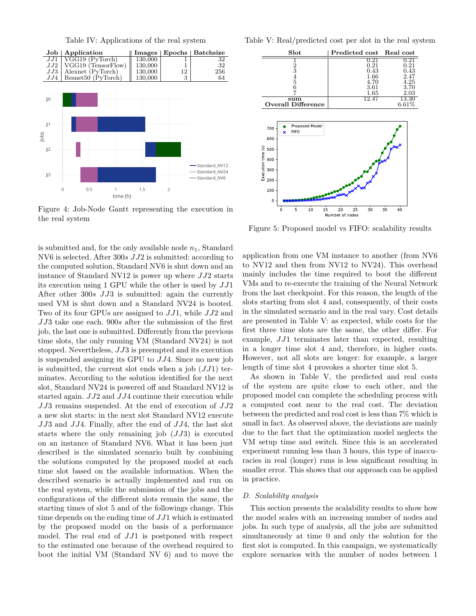Table IV: Applications of the real system



Figure 4: Job-Node Gantt representing the execution in the real system

is submitted and, for the only available node  $n_1$ , Standard NV6 is selected. After 300*s JJ*2 is submitted: according to the computed solution, Standard NV6 is shut down and an instance of Standard NV12 is power up where *JJ*2 starts its execution using 1 GPU while the other is used by *JJ*1 After other 300*s JJ*3 is submitted: again the currently used VM is shut down and a Standard NV24 is booted. Two of its four GPUs are assigned to *JJ*1, while *JJ*2 and *JJ*3 take one each. 900*s* after the submission of the first job, the last one is submitted. Differently from the previous time slots, the only running VM (Standard NV24) is not stopped. Nevertheless, *JJ*3 is preempted and its execution is suspended assigning its GPU to *JJ*4. Since no new job is submitted, the current slot ends when a job (*JJ*1) terminates. According to the solution identified for the next slot, Standard NV24 is powered off and Standard NV12 is started again. *JJ*2 and *JJ*4 continue their execution while *JJ*3 remains suspended. At the end of execution of *JJ*2 a new slot starts: in the next slot Standard NV12 execute *JJ*3 and *JJ*4. Finally, after the end of *JJ*4, the last slot starts where the only remaining job (*JJ*3) is executed on an instance of Standard NV6. What it has been just described is the simulated scenario built by combining the solutions computed by the proposed model at each time slot based on the available information. When the described scenario is actually implemented and run on the real system, while the submission of the jobs and the configurations of the different slots remain the same, the starting times of slot 5 and of the followings change. This time depends on the ending time of *JJ*1 which is estimated by the proposed model on the basis of a performance model. The real end of *JJ*1 is postponed with respect to the estimated one because of the overhead required to boot the initial VM (Standard NV 6) and to move the Table V: Real/predicted cost per slot in the real system



Figure 5: Proposed model vs FIFO: scalability results

application from one VM instance to another (from NV6 to NV12 and then from NV12 to NV24). This overhead mainly includes the time required to boot the different VMs and to re-execute the training of the Neural Network from the last checkpoint. For this reason, the length of the slots starting from slot 4 and, consequently, of their costs in the simulated scenario and in the real vary. Cost details are presented in Table V: as expected, while costs for the first three time slots are the same, the other differ. For example, *JJ*1 terminates later than expected, resulting in a longer time slot 4 and, therefore, in higher costs. However, not all slots are longer: for example, a larger length of time slot 4 provokes a shorter time slot 5.

As shown in Table V, the predicted and real costs of the system are quite close to each other, and the proposed model can complete the scheduling process with a computed cost near to the real cost. The deviation between the predicted and real cost is less than 7% which is small in fact. As observed above, the deviations are mainly due to the fact that the optimization model neglects the VM setup time and switch. Since this is an accelerated experiment running less than 3 hours, this type of inaccuracies in real (longer) runs is less significant resulting in smaller error. This shows that our approach can be applied in practice.

# *D. Scalability analysis*

This section presents the scalability results to show how the model scales with an increasing number of nodes and jobs. In such type of analysis, all the jobs are submitted simultaneously at time 0 and only the solution for the first slot is computed. In this campaign, we systematically explore scenarios with the number of nodes between 1